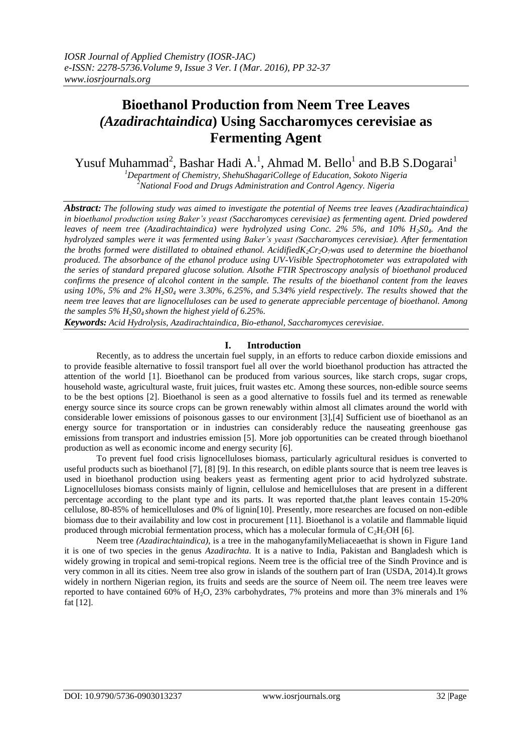# **Bioethanol Production from Neem Tree Leaves** *(Azadirachtaindica***) Using Saccharomyces cerevisiae as Fermenting Agent**

Yusuf Muhammad<sup>2</sup>, Bashar Hadi A.<sup>1</sup>, Ahmad M. Bello<sup>1</sup> and B.B S.Dogarai<sup>1</sup>

*<sup>1</sup>Department of Chemistry, ShehuShagariCollege of Education, Sokoto Nigeria <sup>2</sup>National Food and Drugs Administration and Control Agency. Nigeria*

*Abstract: The following study was aimed to investigate the potential of Neems tree leaves (Azadirachtaindica) in bioethanol production using Baker's yeast (Saccharomyces cerevisiae) as fermenting agent. Dried powdered leaves of neem tree (Azadirachtaindica) were hydrolyzed using Conc. 2% 5%, and 10% H<sub>2</sub>S0<sub>4</sub>. And the hydrolyzed samples were it was fermented using Baker's yeast (Saccharomyces cerevisiae). After fermentation the broths formed were distillated to obtained ethanol. Acidified* $K_2Cr_2O_7$ *<i>was used to determine the bioethanol produced. The absorbance of the ethanol produce using UV-Visible Spectrophotometer was extrapolated with the series of standard prepared glucose solution. Alsothe FTIR Spectroscopy analysis of bioethanol produced confirms the presence of alcohol content in the sample. The results of the bioethanol content from the leaves using 10%, 5% and 2% H2S0<sup>4</sup> were 3.30%, 6.25%, and 5.34% yield respectively. The results showed that the neem tree leaves that are lignocelluloses can be used to generate appreciable percentage of bioethanol. Among the samples 5% H2S04 shown the highest yield of 6.25%.*

*Keywords: Acid Hydrolysis, Azadirachtaindica, Bio-ethanol, Saccharomyces cerevisiae.*

## **I. Introduction**

Recently, as to address the uncertain fuel supply, in an efforts to reduce carbon dioxide emissions and to provide feasible alternative to fossil transport fuel all over the world bioethanol production has attracted the attention of the world [1]. Bioethanol can be produced from various sources, like starch crops, sugar crops, household waste, agricultural waste, fruit juices, fruit wastes etc. Among these sources, non-edible source seems to be the best options [2]. Bioethanol is seen as a good alternative to fossils fuel and its termed as renewable energy source since its source crops can be grown renewably within almost all climates around the world with considerable lower emissions of poisonous gasses to our environment [3],[4] Sufficient use of bioethanol as an energy source for transportation or in industries can considerably reduce the nauseating greenhouse gas emissions from transport and industries emission [5]. More job opportunities can be created through bioethanol production as well as economic income and energy security [6].

To prevent fuel food crisis lignocelluloses biomass, particularly agricultural residues is converted to useful products such as bioethanol [7], [8] [9]. In this research, on edible plants source that is neem tree leaves is used in bioethanol production using beakers yeast as fermenting agent prior to acid hydrolyzed substrate. Lignocelluloses biomass consists mainly of lignin, cellulose and hemicelluloses that are present in a different percentage according to the plant type and its parts. It was reported that,the plant leaves contain 15-20% cellulose, 80-85% of hemicelluloses and 0% of lignin[10]. Presently, more researches are focused on non-edible biomass due to their availability and low cost in procurement [11]. Bioethanol is a volatile and flammable liquid produced through microbial fermentation process, which has a molecular formula of  $C_2H_3OH$  [6].

Neem tree *(Azadirachtaindica)*, is a [tree](http://en.wikipedia.org/wiki/Tree) in the [mahoganyfamily](http://en.wikipedia.org/wiki/Swietenia_mahagoni)[Meliaceaet](http://en.wikipedia.org/wiki/Meliaceae)hat is shown in Figure 1and it is one of two species in the genus *[Azadirachta](http://en.wikipedia.org/wiki/Azadirachta)*. It is a native to [India,](http://en.wikipedia.org/wiki/India) [Pakistan](http://en.wikipedia.org/wiki/Pakistan) and [Bangladesh](http://en.wikipedia.org/wiki/Bangladesh) which is widely growing in [tropical](http://en.wikipedia.org/wiki/Tropical) and semi-tropical regions. Neem tree is the official tree of the Sindh Province and is very common in all its cities. Neem tree also grow in islands of the southern part of [Iran](http://en.wikipedia.org/wiki/Iran) (USDA, 2014).It grows widely in northern Nigerian region, its fruits and seeds are the source of [Neem oil.](http://en.wikipedia.org/wiki/Neem_oil) The neem tree leaves were reported to have contained 60% of H<sub>2</sub>O, 23% carbohydrates, 7% proteins and more than 3% minerals and 1% fat [12].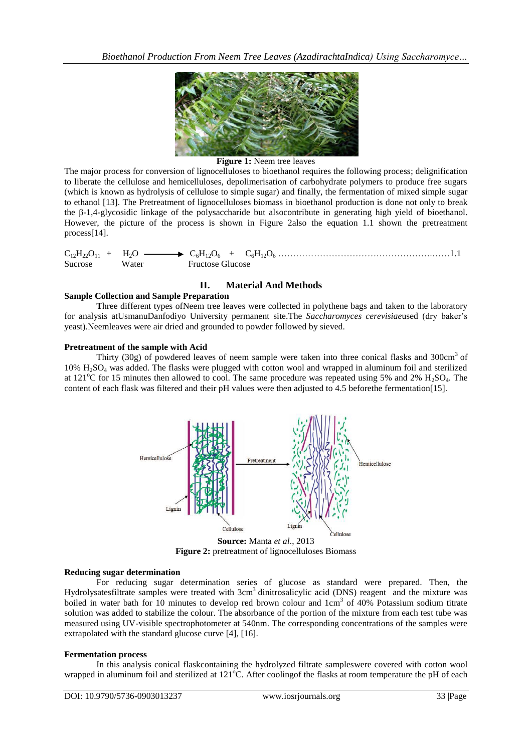

#### **Figure 1:** Neem tree leaves

The major process for conversion of lignocelluloses to bioethanol requires the following process; delignification to liberate the cellulose and hemicelluloses, depolimerisation of carbohydrate polymers to produce free sugars (which is known as hydrolysis of cellulose to simple sugar) and finally, the fermentation of mixed simple sugar to ethanol [13]. The Pretreatment of lignocelluloses biomass in bioethanol production is done not only to break the β-1,4-glycosidic linkage of the polysaccharide but alsocontribute in generating high yield of bioethanol. However, the picture of the process is shown in Figure 2also the equation 1.1 shown the pretreatment process[14].

 $C_{12}H_{22}O_{11} + H_2O \longrightarrow C_6H_{12}O_6 + C_6H_{12}O_6 + \ldots$ Sucrose Water Fructose Glucose

## **II. Material And Methods**

### **Sample Collection and Sample Preparation**

**T**hree different types ofNeem tree leaves were collected in polythene bags and taken to the laboratory for analysis atUsmanuDanfodiyo University permanent site.The *Saccharomyces cerevisiae*used (dry baker's yeast).Neemleaves were air dried and grounded to powder followed by sieved.

#### **Pretreatment of the sample with Acid**

Thirty (30g) of powdered leaves of neem sample were taken into three conical flasks and 300 $cm<sup>3</sup>$  of 10% H2SO<sup>4</sup> was added. The flasks were plugged with cotton wool and wrapped in aluminum foil and sterilized at 121 $^{\circ}$ C for 15 minutes then allowed to cool. The same procedure was repeated using 5% and 2% H<sub>2</sub>SO<sub>4</sub>. The content of each flask was filtered and their pH values were then adjusted to 4.5 beforethe fermentation[15].



**Source:** Manta *et al*., 2013 **Figure 2:** pretreatment of lignocelluloses Biomass

#### **Reducing sugar determination**

For reducing sugar determination series of glucose as standard were prepared. Then, the Hydrolysatesfiltrate samples were treated with 3cm<sup>3</sup> dinitrosalicylic acid (DNS) reagent and the mixture was boiled in water bath for 10 minutes to develop red brown colour and 1cm<sup>3</sup> of 40% Potassium sodium titrate solution was added to stabilize the colour. The absorbance of the portion of the mixture from each test tube was measured using UV-visible spectrophotometer at 540nm. The corresponding concentrations of the samples were extrapolated with the standard glucose curve [4], [16].

#### **Fermentation process**

In this analysis conical flaskcontaining the hydrolyzed filtrate sampleswere covered with cotton wool wrapped in aluminum foil and sterilized at  $121^{\circ}$ C. After coolingof the flasks at room temperature the pH of each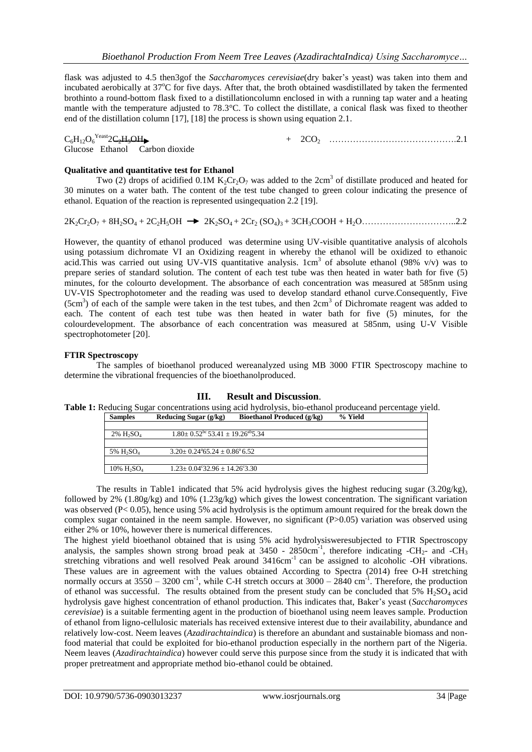flask was adjusted to 4.5 then3gof the *Saccharomyces cerevisiae*(dry baker's yeast) was taken into them and incubated aerobically at 37°C for five days. After that, the broth obtained wasdistillated by taken the fermented brothinto a round-bottom flask fixed to a distillationcolumn enclosed in with a running tap water and a heating mantle with the temperature adjusted to 78.3°C. To collect the distillate, a conical flask was fixed to theother end of the distillation column [17], [18] the process is shown using equation 2.1.

#### $C_6H_{12}O_6$ <sup>Yeast</sup>2C<sub>2</sub>H<sub>2</sub>OH<sub>2</sub>

Yeast2C2H5OH + 2CO2 …………………………………….2.1

# **Qualitative and quantitative test for Ethanol**

Glucose Ethanol Carbon dioxide

Two (2) drops of acidified 0.1M  $K_2Cr_2O_7$  was added to the 2cm<sup>3</sup> of distillate produced and heated for 30 minutes on a water bath. The content of the test tube changed to green colour indicating the presence of ethanol. Equation of the reaction is represented usingequation 2.2 [19].

2K2Cr2O<sup>7</sup> + 8H2SO<sup>4</sup> + 2C2H5OH 2K2SO4 + 2Cr<sup>2</sup> (SO4)3 + 3CH3COOH + H2O…………………………..2.2

However, the quantity of ethanol produced was determine using UV-visible quantitative analysis of alcohols using potassium dichromate VI an Oxidizing reagent in whereby the ethanol will be oxidized to ethanoic acid. This was carried out using UV-VIS quantitative analysis.  $1cm<sup>3</sup>$  of absolute ethanol (98% v/v) was to prepare series of standard solution. The content of each test tube was then heated in water bath for five (5) minutes, for the colourto development. The absorbance of each concentration was measured at 585nm using UV-VIS Spectrophotometer and the reading was used to develop standard ethanol curve.Consequently, Five (5cm<sup>3</sup>) of each of the sample were taken in the test tubes, and then 2cm<sup>3</sup> of Dichromate reagent was added to each. The content of each test tube was then heated in water bath for five (5) minutes, for the colourdevelopment. The absorbance of each concentration was measured at 585nm, using U-V Visible spectrophotometer [20].

### **FTIR Spectroscopy**

The samples of bioethanol produced wereanalyzed using MB 3000 FTIR Spectroscopy machine to determine the vibrational frequencies of the bioethanolproduced.

#### **III. Result and Discussion**.

**Table 1:** Reducing Sugar concentrations using acid hydrolysis, bio-ethanol produceand percentage yield.<br> **Samples** Reducing Sugar (g/kg) Bioethanol Produced (g/kg) % Yield **Bioethanol Produced (g/kg)** 

| $2\%$ H <sub>2</sub> SO <sub>4</sub>  | $1.80 \pm 0.52^{\text{bc}} 53.41 \pm 19.26^{\text{ab}} 5.34$ |  |
|---------------------------------------|--------------------------------------------------------------|--|
|                                       |                                                              |  |
| 5% H <sub>2</sub> SO <sub>4</sub>     | $3.20 \pm 0.24^{4}65.24 \pm 0.86^{4}6.52$                    |  |
|                                       |                                                              |  |
| $10\%$ H <sub>2</sub> SO <sub>4</sub> | $1.23 \pm 0.04^{\circ}32.96 \pm 14.26^{\circ}3.30$           |  |

The results in Table1 indicated that 5% acid hydrolysis gives the highest reducing sugar (3.20g/kg), followed by 2% (1.80g/kg) and 10% (1.23g/kg) which gives the lowest concentration. The significant variation was observed (P< 0.05), hence using 5% acid hydrolysis is the optimum amount required for the break down the complex sugar contained in the neem sample. However, no significant (P>0.05) variation was observed using either 2% or 10%, however there is numerical differences.

The highest yield bioethanol obtained that is using 5% acid hydrolysisweresubjected to FTIR Spectroscopy analysis, the samples shown strong broad peak at  $3450$  -  $2850 \text{cm}^{-1}$ , therefore indicating -CH<sub>2</sub>- and -CH<sub>3</sub> stretching vibrations and well resolved Peak around 3416cm<sup>-1</sup> can be assigned to alcoholic -OH vibrations. These values are in agreement with the values obtained According to Spectra (2014) free O-H stretching normally occurs at  $3550 - 3200$  cm<sup>-1</sup>, while C-H stretch occurs at  $3000 - 2840$  cm<sup>-1</sup>. Therefore, the production of ethanol was successful. The results obtained from the present study can be concluded that  $5\%$  H<sub>2</sub>SO<sub>4</sub> acid hydrolysis gave highest concentration of ethanol production. This indicates that, Baker's yeast (*Saccharomyces cerevisiae*) is a suitable fermenting agent in the production of bioethanol using neem leaves sample. Production of ethanol from ligno-cellulosic materials has received extensive interest due to their availability, abundance and relatively low-cost. Neem leaves (*Azadirachtaindica*) is therefore an abundant and sustainable biomass and nonfood material that could be exploited for bio-ethanol production especially in the northern part of the Nigeria. Neem leaves (*Azadirachtaindica*) however could serve this purpose since from the study it is indicated that with proper pretreatment and appropriate method bio-ethanol could be obtained.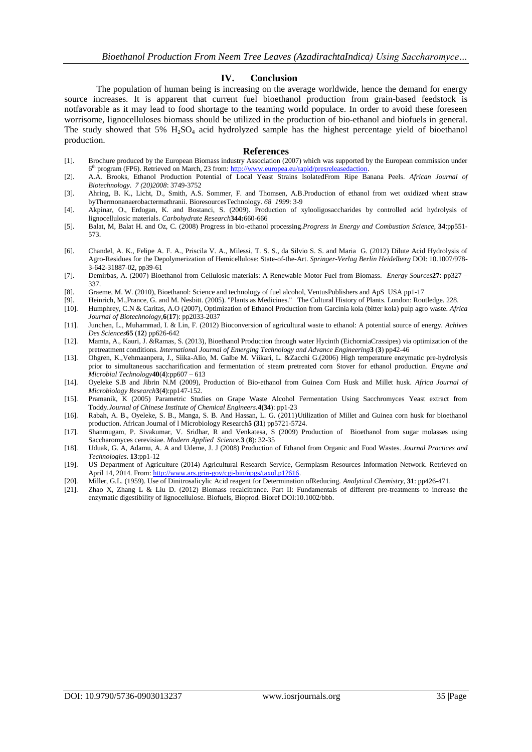#### **IV. Conclusion**

The population of human being is increasing on the average worldwide, hence the demand for energy source increases. It is apparent that current fuel bioethanol production from grain-based feedstock is notfavorable as it may lead to food shortage to the teaming world populace. In order to avoid these foreseen worrisome, lignocelluloses biomass should be utilized in the production of bio-ethanol and biofuels in general. The study showed that  $5\%$  H<sub>2</sub>SO<sub>4</sub> acid hydrolyzed sample has the highest percentage yield of bioethanol production.

#### **References**

- [1]. Brochure produced by the European Biomass industry Association (2007) which was supported by the European commission under 6<sup>th</sup> program (FP6). Retrieved on March, 23 from: [http://www.europea.eu/rapid/presreleasedaction.](http://www.europea.eu/rapid/presreleasedaction)
- [2]. A.A. Brooks, Ethanol Production Potential of Local Yeast Strains IsolatedFrom Ripe Banana Peels*. African Journal of Biotechnology*. *7 (20)2008*: 3749-3752
- [3]. Ahring, B. K., Licht, D., Smith, A.S. Sommer, F. and Thomsen, A.B.Production of ethanol from wet oxidized wheat straw byThermonanaerobactermathranii. BioresourcesTechnology. *68 1999*: 3-9
- [4]. Akpinar, O., Erdogan, K. and Bostanci, S. (2009). Production of xylooligosaccharides by controlled acid hydrolysis of lignocellulosic materials. *Carbohydrate Research***344:**660-666
- [5]. Balat, M, Balat H. and Oz, C. (2008) Progress in bio-ethanol processing.*Progress in Energy and Combustion Science,* **34**:pp551- 573.
- [6]. Chandel, A. K., Felipe A. F. A., Priscila V. A., Milessi, T. S. S., da Silvio S. S. and Maria G. (2012) Dilute Acid Hydrolysis of Agro-Residues for the Depolymerization of Hemicellulose: State-of-the-Art. *Springer-Verlag Berlin Heidelberg* DOI: 10.1007/978- 3-642-31887-02, pp39-61
- [7]. Demirbas, A. (2007) Bioethanol from Cellulosic materials: A Renewable Motor Fuel from Biomass. *Energy Sources***27**: pp327 337.
- [8]. Graeme, M. W. (2010), Bioethanol: Science and technology of fuel alcohol, VentusPublishers and ApS USA pp1-17
- [9]. Heinrich, M.,Prance, G. and M. Nesbitt. (2005). "Plants as Medicines." The Cultural History of Plants. London: Routledge. 228.<br>[10]. Humphrey, C.N & Caritas, A.O (2007), Optimization of Ethanol Production from Garcini
- [10]. Humphrey, C.N & Caritas, A.O (2007), Optimization of Ethanol Production from Garcinia kola (bitter kola) pulp agro waste. *Africa Journal of Biotechnology*,**6**(**17**): pp2033-2037
- [11]. Junchen, L., Muhammad, I. & Lin, F. (2012) Bioconversion of agricultural waste to ethanol: A potential source of energy. *Achives Des Sciences***65** (**12**) pp626-642
- [12]. Mamta, A., Kauri, J. &Ramas, S. (2013), Bioethanol Production through water Hycinth (EichorniaCrassipes) via optimization of the pretreatment conditions. *International Journal of Emerging Technology and Advance Engineering***3** (**3**) pp42-46
- [13]. Ohgren, K.,Vehmaanpera, J., Siika-Alio, M. Galbe M. Viikari, L. &Zacchi G.(2006) High temperature enzymatic pre-hydrolysis prior to simultaneous saccharification and fermentation of steam pretreated corn Stover for ethanol production. *Enzyme and Microbial Technology***40**(**4**):pp607 – 613
- [14]. Oyeleke S.B and Jibrin N.M (2009), Production of Bio-ethanol from Guinea Corn Husk and Millet husk. *Africa Journal of Microbiology Research***3**(**4**):pp147-152.
- [15]. Pramanik, K (2005) Parametric Studies on Grape Waste Alcohol Fermentation Using Sacchromyces Yeast extract from Toddy.*Journal of Chinese Institute of Chemical Engineers.***4(34**): pp1-23
- [16]. Rabah, A. B., Oyeleke, S. B., Manga, S. B. And Hassan, L. G. (2011)Utilization of Millet and Guinea corn husk for bioethanol production. African Journal of l Microbiology Research**5 (31**) pp5721-5724.
- [17]. Shanmugam, P. Sivakumar, V. Sridhar, R and Venkatesa, S (2009) Production of Bioethanol from sugar molasses using Saccharomyces cerevisiae. *Modern Applied Science.***3** (**8**): 32-35
- [18]. Uduak, G. A, Adamu, A. A and Udeme, J. J (2008) Production of Ethanol from Organic and Food Wastes. *Journal Practices and Technologies*. **13**:pp1-12
- [19]. US Department of Agriculture (2014) Agricultural Research Service, Germplasm Resources Information Network. Retrieved on April 14, 2014. From[: http://www.ars.grin-gov/cgi-bin/npgs/taxol.p1?616.](http://www.ars.grin-gov/cgi-bin/npgs/taxol.p1?616)
- [20]. Miller, G.L. (1959). Use of Dinitrosalicylic Acid reagent for Determination ofReducing. *Analytical Chemistry*, **31**: pp426-471.
- [21]. Zhao X, Zhang L & Liu D. (2012) Biomass recalcitrance. Part II: Fundamentals of different pre-treatments to increase the enzymatic digestibility of lignocellulose. Biofuels, Bioprod. Bioref DOI:10.1002/bbb.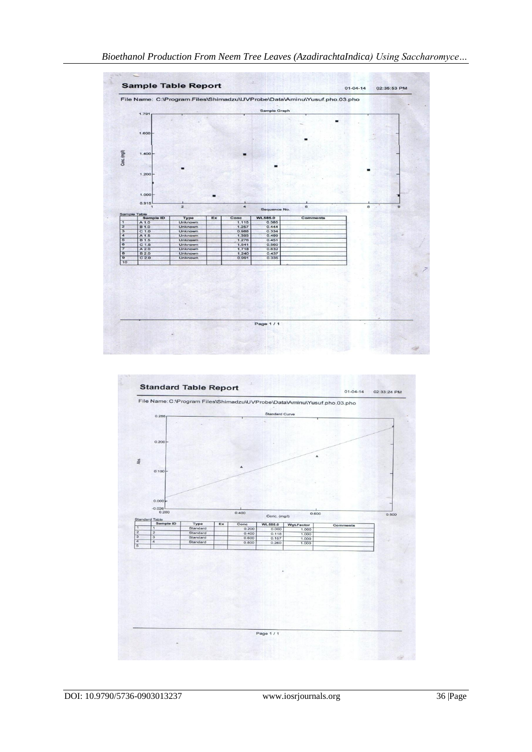